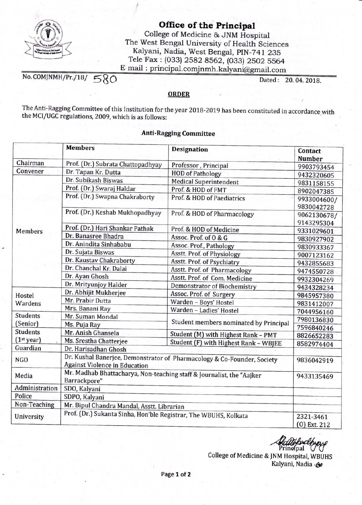

Office of the Principal

College of Medicine & JNM Hospital The West Bengal University of Health Sciences Kalyani, Nadia, West Bengal, PIN-741 235 Tele Fax: (033) 2582 8562, (033) 2502 5564<br>E mail: principal.comjnmh.kalyani@gmail.com

No. COMJNMH/Pr./18/  $580$  Dated: 20.04.2018.

## ORDER

The Anti-Ragging Committee of this Institution for the year 2018-2019 has been constituted in accordance with the MCI/UGC regulations, 2009, which is as follows:

## Anti-Ragging Committee

|                                     | <b>Members</b>                                                                                                  | <b>Designation</b>                     | Contact<br><b>Number</b>  |
|-------------------------------------|-----------------------------------------------------------------------------------------------------------------|----------------------------------------|---------------------------|
| Chairman                            | Prof. (Dr.) Subrata Chattopadhyay                                                                               | Professor, Principal                   | 9903793454                |
| Convener                            | Dr. Tapan Kr. Dutta                                                                                             | <b>HOD</b> of Pathology                | 9432320605                |
| <b>Members</b><br>Hostel<br>Wardens | Dr. Subikash Biswas                                                                                             | <b>Medical Superintendent</b>          | 9831158155                |
|                                     | Prof. (Dr.) Swaraj Haldar                                                                                       | Prof. & HOD of FMT                     | 8902047385                |
|                                     | Prof. (Dr.) Swapna Chakraborty                                                                                  | Prof. & HOD of Paediatrics             | 9933004600/               |
|                                     | Prof. (Dr.) Keshab Mukhopadhyay                                                                                 | Prof. & HOD of Pharmacology            | 9830042728<br>9062130678/ |
|                                     | Prof. (Dr.) Hari Shankar Pathak                                                                                 |                                        | 9143295304                |
|                                     | Dr. Banasree Bhadra                                                                                             | Prof. & HOD of Medicine                | 9331029601                |
|                                     | Dr. Anindita Sinhababu                                                                                          | Assoc. Prof. of 0 & G                  | 9830927902                |
|                                     |                                                                                                                 | Assoc. Prof., Pathology                | 9830933367                |
|                                     | Dr. Sujata Biswas                                                                                               | Asstt. Prof. of Physiology             | 9007123162                |
|                                     | Dr. Kaustav Chakraborty                                                                                         | Asstt. Prof. of Psychiatry             | 9432855683                |
|                                     | Dr. Chanchal Kr. Dalai                                                                                          | Asstt. Prof. of Pharmacology           | 9474550728                |
|                                     | Dr. Ayan Ghosh                                                                                                  | Asstt. Prof. of Com. Medicine          | 9932304269                |
|                                     | Dr. Mrityunjoy Halder                                                                                           | <b>Demonstrator of Biochemistry</b>    | 9434328234                |
|                                     | Dr. Abhijit Mukherjee                                                                                           | Assoc. Prof. of Surgery                | 9845957380                |
|                                     | Mr. Prabir Dutta                                                                                                | Warden - Boys' Hostel                  | 9831412007                |
|                                     | Mrs. Banani Ray                                                                                                 | Warden - Ladies' Hostel                | 7044956160                |
| <b>Students</b>                     | Mr. Suman Mondal                                                                                                | Student members nominated by Principal | 7980136830                |
| (Senior)                            | Ms. Puja Ray                                                                                                    |                                        | 7596840246                |
| <b>Students</b>                     | Mr. Anish Ghansela                                                                                              | Student (M) with Highest Rank - PMT    | 8826652283                |
| (1 <sup>st</sup> year)              | Ms. Srestha Chatterjee                                                                                          | Student (F) with Highest Rank - WBJEE  | 8582974404                |
| Guardian                            | Dr. Harisadhan Ghosh                                                                                            |                                        |                           |
| <b>NGO</b>                          | Dr. Kushal Banerjee, Demonstrator of Pharmacology & Co-Founder, Society<br><b>Against Violence in Education</b> |                                        | 9836042919                |
| Media                               | Mr. Madhab Bhattacharya, Non-teaching staff & Journalist, the "Aajker<br>Barrackpore"                           |                                        | 9433135469                |
| Administration                      | SDO, Kalyani                                                                                                    |                                        |                           |
| Police                              | SDPO, Kalyani                                                                                                   |                                        |                           |
| Non-Teaching                        | Mr. Bipul Chandra Mandal, Asstt. Librarian                                                                      |                                        |                           |
| University                          | Prof. (Dr.) Sukanta Sinha, Hon'ble Registrar, The WBUHS, Kolkata                                                | 2321-3461<br>$(0)$ Ext. 212            |                           |

ach Principal

College of Medicine & INM Hospital, WBUHS Kalyani, Nadia 190